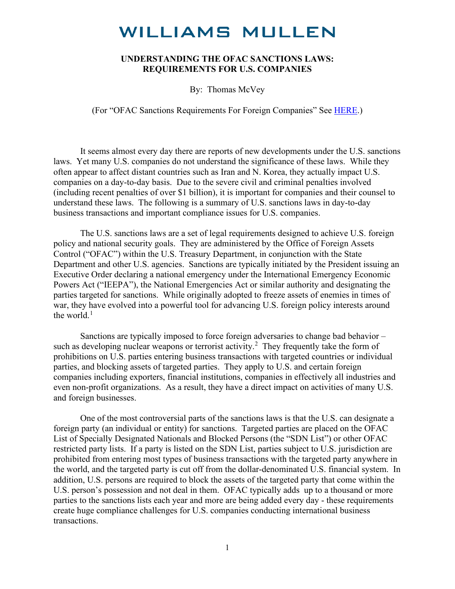#### **UNDERSTANDING THE OFAC SANCTIONS LAWS: REQUIREMENTS FOR U.S. COMPANIES**

By: Thomas McVey

(For "OFAC Sanctions Requirements For Foreign Companies" See [HERE.](https://www.williamsmullen.com/news/us-sanctions-laws-dangers-ahead))

It seems almost every day there are reports of new developments under the U.S. sanctions laws. Yet many U.S. companies do not understand the significance of these laws. While they often appear to affect distant countries such as Iran and N. Korea, they actually impact U.S. companies on a day-to-day basis. Due to the severe civil and criminal penalties involved (including recent penalties of over \$1 billion), it is important for companies and their counsel to understand these laws. The following is a summary of U.S. sanctions laws in day-to-day business transactions and important compliance issues for U.S. companies.

The U.S. sanctions laws are a set of legal requirements designed to achieve U.S. foreign policy and national security goals. They are administered by the Office of Foreign Assets Control ("OFAC") within the U.S. Treasury Department, in conjunction with the State Department and other U.S. agencies. Sanctions are typically initiated by the President issuing an Executive Order declaring a national emergency under the International Emergency Economic Powers Act ("IEEPA"), the National Emergencies Act or similar authority and designating the parties targeted for sanctions. While originally adopted to freeze assets of enemies in times of war, they have evolved into a powerful tool for advancing U.S. foreign policy interests around the world.<sup>[1](#page-17-0)</sup>

Sanctions are typically imposed to force foreign adversaries to change bad behavior – such as developing nuclear weapons or terrorist activity.<sup>[2](#page-17-1)</sup> They frequently take the form of prohibitions on U.S. parties entering business transactions with targeted countries or individual parties, and blocking assets of targeted parties. They apply to U.S. and certain foreign companies including exporters, financial institutions, companies in effectively all industries and even non-profit organizations. As a result, they have a direct impact on activities of many U.S. and foreign businesses.

One of the most controversial parts of the sanctions laws is that the U.S. can designate a foreign party (an individual or entity) for sanctions. Targeted parties are placed on the OFAC List of Specially Designated Nationals and Blocked Persons (the "SDN List") or other OFAC restricted party lists. If a party is listed on the SDN List, parties subject to U.S. jurisdiction are prohibited from entering most types of business transactions with the targeted party anywhere in the world, and the targeted party is cut off from the dollar-denominated U.S. financial system. In addition, U.S. persons are required to block the assets of the targeted party that come within the U.S. person's possession and not deal in them. OFAC typically adds up to a thousand or more parties to the sanctions lists each year and more are being added every day - these requirements create huge compliance challenges for U.S. companies conducting international business transactions.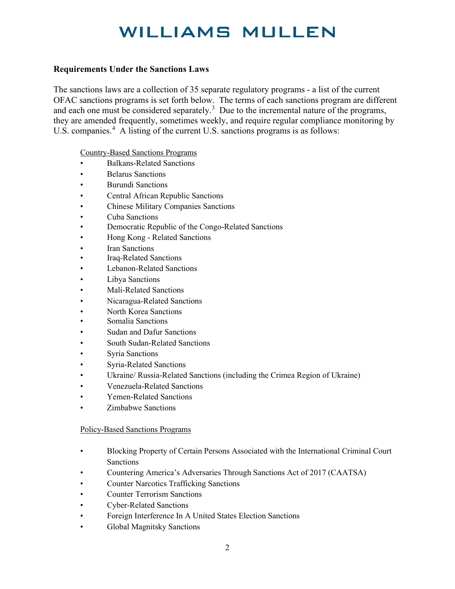#### **Requirements Under the Sanctions Laws**

The sanctions laws are a collection of 35 separate regulatory programs - a list of the current OFAC sanctions programs is set forth below. The terms of each sanctions program are different and each one must be considered separately.<sup>[3](#page-17-2)</sup> Due to the incremental nature of the programs, they are amended frequently, sometimes weekly, and require regular compliance monitoring by U.S. companies.<sup>[4](#page-17-3)</sup> A listing of the current U.S. sanctions programs is as follows:

Country-Based Sanctions Programs

- Balkans-Related Sanctions
- Belarus Sanctions
- Burundi Sanctions
- Central African Republic Sanctions
- Chinese Military Companies Sanctions
- Cuba Sanctions
- Democratic Republic of the Congo-Related Sanctions
- Hong Kong Related Sanctions
- **Iran Sanctions**
- Iraq-Related Sanctions
- Lebanon-Related Sanctions
- Libya Sanctions
- Mali-Related Sanctions
- Nicaragua-Related Sanctions
- North Korea Sanctions
- Somalia Sanctions
- Sudan and Dafur Sanctions
- South Sudan-Related Sanctions
- Syria Sanctions
- Syria-Related Sanctions
- Ukraine/ Russia-Related Sanctions (including the Crimea Region of Ukraine)
- Venezuela-Related Sanctions
- Yemen-Related Sanctions
- Zimbabwe Sanctions

#### Policy-Based Sanctions Programs

- Blocking Property of Certain Persons Associated with the International Criminal Court Sanctions
- Countering America's Adversaries Through Sanctions Act of 2017 (CAATSA)
- Counter Narcotics Trafficking Sanctions
- Counter Terrorism Sanctions
- Cyber-Related Sanctions
- Foreign Interference In A United States Election Sanctions
- Global Magnitsky Sanctions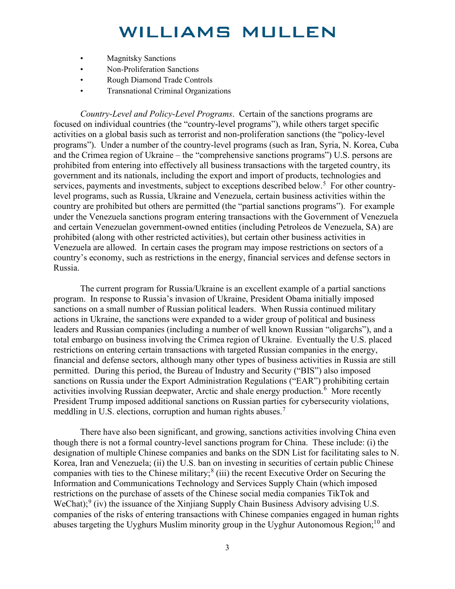- Magnitsky Sanctions
- Non-Proliferation Sanctions
- Rough Diamond Trade Controls
- Transnational Criminal Organizations

*Country-Level and Policy-Level Programs*. Certain of the sanctions programs are focused on individual countries (the "country-level programs"), while others target specific activities on a global basis such as terrorist and non-proliferation sanctions (the "policy-level programs"). Under a number of the country-level programs (such as Iran, Syria, N. Korea, Cuba and the Crimea region of Ukraine – the "comprehensive sanctions programs") U.S. persons are prohibited from entering into effectively all business transactions with the targeted country, its government and its nationals, including the export and import of products, technologies and services, payments and investments, subject to exceptions described below.<sup>[5](#page-17-4)</sup> For other countrylevel programs, such as Russia, Ukraine and Venezuela, certain business activities within the country are prohibited but others are permitted (the "partial sanctions programs"). For example under the Venezuela sanctions program entering transactions with the Government of Venezuela and certain Venezuelan government-owned entities (including Petroleos de Venezuela, SA) are prohibited (along with other restricted activities), but certain other business activities in Venezuela are allowed. In certain cases the program may impose restrictions on sectors of a country's economy, such as restrictions in the energy, financial services and defense sectors in Russia.

The current program for Russia/Ukraine is an excellent example of a partial sanctions program. In response to Russia's invasion of Ukraine, President Obama initially imposed sanctions on a small number of Russian political leaders. When Russia continued military actions in Ukraine, the sanctions were expanded to a wider group of political and business leaders and Russian companies (including a number of well known Russian "oligarchs"), and a total embargo on business involving the Crimea region of Ukraine. Eventually the U.S. placed restrictions on entering certain transactions with targeted Russian companies in the energy, financial and defense sectors, although many other types of business activities in Russia are still permitted. During this period, the Bureau of Industry and Security ("BIS") also imposed sanctions on Russia under the Export Administration Regulations ("EAR") prohibiting certain activities involving Russian deepwater, Arctic and shale energy production.<sup>[6](#page-17-5)</sup> More recently President Trump imposed additional sanctions on Russian parties for cybersecurity violations, meddling in U.S. elections, corruption and human rights abuses.<sup>[7](#page-17-6)</sup>

There have also been significant, and growing, sanctions activities involving China even though there is not a formal country-level sanctions program for China. These include: (i) the designation of multiple Chinese companies and banks on the SDN List for facilitating sales to N. Korea, Iran and Venezuela; (ii) the U.S. ban on investing in securities of certain public Chinese companies with ties to the Chinese military;<sup>[8](#page-17-7)</sup> (iii) the recent Executive Order on Securing the Information and Communications Technology and Services Supply Chain (which imposed restrictions on the purchase of assets of the Chinese social media companies TikTok and WeChat);<sup>[9](#page-17-8)</sup> (iv) the issuance of the Xinjiang Supply Chain Business Advisory advising U.S. companies of the risks of entering transactions with Chinese companies engaged in human rights abuses targeting the Uyghurs Muslim minority group in the Uyghur Autonomous Region;<sup>[10](#page-17-9)</sup> and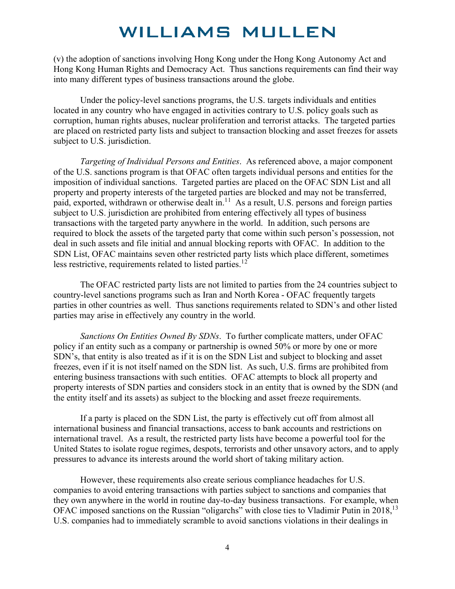(v) the adoption of sanctions involving Hong Kong under the Hong Kong Autonomy Act and Hong Kong Human Rights and Democracy Act. Thus sanctions requirements can find their way into many different types of business transactions around the globe.

Under the policy-level sanctions programs, the U.S. targets individuals and entities located in any country who have engaged in activities contrary to U.S. policy goals such as corruption, human rights abuses, nuclear proliferation and terrorist attacks. The targeted parties are placed on restricted party lists and subject to transaction blocking and asset freezes for assets subject to U.S. jurisdiction.

*Targeting of Individual Persons and Entities*. As referenced above, a major component of the U.S. sanctions program is that OFAC often targets individual persons and entities for the imposition of individual sanctions. Targeted parties are placed on the OFAC SDN List and all property and property interests of the targeted parties are blocked and may not be transferred, paid, exported, withdrawn or otherwise dealt in.<sup>[1](#page-17-10)1</sup> As a result, U.S. persons and foreign parties subject to U.S. jurisdiction are prohibited from entering effectively all types of business transactions with the targeted party anywhere in the world. In addition, such persons are required to block the assets of the targeted party that come within such person's possession, not deal in such assets and file initial and annual blocking reports with OFAC. In addition to the SDN List, OFAC maintains seven other restricted party lists which place different, sometimes less restrictive, requirements related to listed parties.<sup>1[2](#page-17-11)</sup>

The OFAC restricted party lists are not limited to parties from the 24 countries subject to country-level sanctions programs such as Iran and North Korea - OFAC frequently targets parties in other countries as well. Thus sanctions requirements related to SDN's and other listed parties may arise in effectively any country in the world.

*Sanctions On Entities Owned By SDNs*. To further complicate matters, under OFAC policy if an entity such as a company or partnership is owned 50% or more by one or more SDN's, that entity is also treated as if it is on the SDN List and subject to blocking and asset freezes, even if it is not itself named on the SDN list. As such, U.S. firms are prohibited from entering business transactions with such entities. OFAC attempts to block all property and property interests of SDN parties and considers stock in an entity that is owned by the SDN (and the entity itself and its assets) as subject to the blocking and asset freeze requirements.

If a party is placed on the SDN List, the party is effectively cut off from almost all international business and financial transactions, access to bank accounts and restrictions on international travel. As a result, the restricted party lists have become a powerful tool for the United States to isolate rogue regimes, despots, terrorists and other unsavory actors, and to apply pressures to advance its interests around the world short of taking military action.

However, these requirements also create serious compliance headaches for U.S. companies to avoid entering transactions with parties subject to sanctions and companies that they own anywhere in the world in routine day-to-day business transactions. For example, when OFAC imposed sanctions on the Russian "oligarchs" with close ties to Vladimir Putin in 2018,1[3](#page-17-12) U.S. companies had to immediately scramble to avoid sanctions violations in their dealings in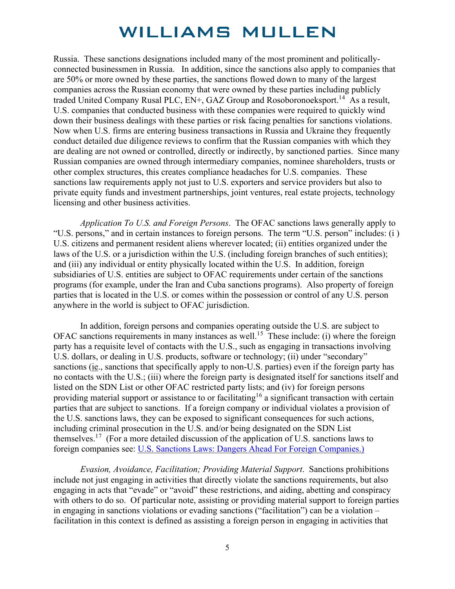Russia. These sanctions designations included many of the most prominent and politicallyconnected businessmen in Russia. In addition, since the sanctions also apply to companies that are 50% or more owned by these parties, the sanctions flowed down to many of the largest companies across the Russian economy that were owned by these parties including publicly traded United Company Rusal PLC, EN+, GAZ Group and Rosoboronoeksport.<sup>[14](#page-18-0)</sup> As a result, U.S. companies that conducted business with these companies were required to quickly wind down their business dealings with these parties or risk facing penalties for sanctions violations. Now when U.S. firms are entering business transactions in Russia and Ukraine they frequently conduct detailed due diligence reviews to confirm that the Russian companies with which they are dealing are not owned or controlled, directly or indirectly, by sanctioned parties. Since many Russian companies are owned through intermediary companies, nominee shareholders, trusts or other complex structures, this creates compliance headaches for U.S. companies. These sanctions law requirements apply not just to U.S. exporters and service providers but also to private equity funds and investment partnerships, joint ventures, real estate projects, technology licensing and other business activities.

*Application To U.S. and Foreign Persons*. The OFAC sanctions laws generally apply to "U.S. persons," and in certain instances to foreign persons. The term "U.S. person" includes: (i ) U.S. citizens and permanent resident aliens wherever located; (ii) entities organized under the laws of the U.S. or a jurisdiction within the U.S. (including foreign branches of such entities); and (iii) any individual or entity physically located within the U.S. In addition, foreign subsidiaries of U.S. entities are subject to OFAC requirements under certain of the sanctions programs (for example, under the Iran and Cuba sanctions programs). Also property of foreign parties that is located in the U.S. or comes within the possession or control of any U.S. person anywhere in the world is subject to OFAC jurisdiction.

In addition, foreign persons and companies operating outside the U.S. are subject to OFAC sanctions requirements in many instances as well.<sup>1[5](#page-18-1)</sup> These include: (i) where the foreign party has a requisite level of contacts with the U.S., such as engaging in transactions involving U.S. dollars, or dealing in U.S. products, software or technology; (ii) under "secondary" sanctions (ie., sanctions that specifically apply to non-U.S. parties) even if the foreign party has no contacts with the U.S.; (iii) where the foreign party is designated itself for sanctions itself and listed on the SDN List or other OFAC restricted party lists; and (iv) for foreign persons providing material support or assistance to or facilitating<sup>1[6](#page-18-2)</sup> a significant transaction with certain parties that are subject to sanctions. If a foreign company or individual violates a provision of the U.S. sanctions laws, they can be exposed to significant consequences for such actions, including criminal prosecution in the U.S. and/or being designated on the SDN List themselves.<sup>1[7](#page-18-3)</sup> (For a more detailed discussion of the application of U.S. sanctions laws to foreign companies see: [U.S. Sanctions Laws: Dangers Ahead For Foreign](https://www.williamsmullen.com/news/us-sanctions-laws-dangers-ahead) Companies.)

*Evasion, Avoidance, Facilitation; Providing Material Support*. Sanctions prohibitions include not just engaging in activities that directly violate the sanctions requirements, but also engaging in acts that "evade" or "avoid" these restrictions, and aiding, abetting and conspiracy with others to do so. Of particular note, assisting or providing material support to foreign parties in engaging in sanctions violations or evading sanctions ("facilitation") can be a violation – facilitation in this context is defined as assisting a foreign person in engaging in activities that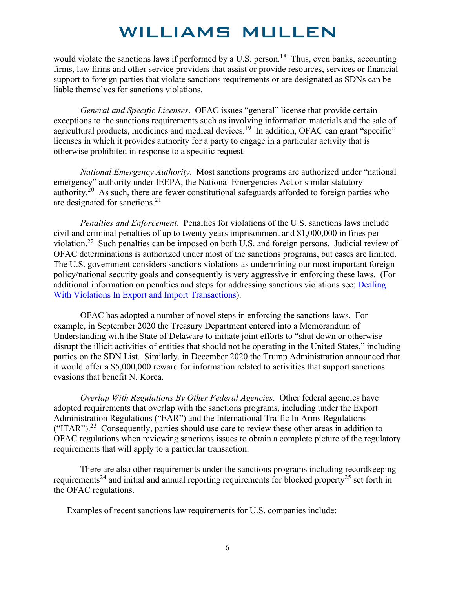would violate the sanctions laws if performed by a U.S. person.<sup>1[8](#page-18-4)</sup> Thus, even banks, accounting firms, law firms and other service providers that assist or provide resources, services or financial support to foreign parties that violate sanctions requirements or are designated as SDNs can be liable themselves for sanctions violations.

*General and Specific Licenses*. OFAC issues "general" license that provide certain exceptions to the sanctions requirements such as involving information materials and the sale of agricultural products, medicines and medical devices.<sup>1[9](#page-18-5)</sup> In addition, OFAC can grant "specific" licenses in which it provides authority for a party to engage in a particular activity that is otherwise prohibited in response to a specific request.

*National Emergency Authority*. Most sanctions programs are authorized under "national emergency" authority under IEEPA, the National Emergencies Act or similar statutory authority.<sup>2[0](#page-18-6)</sup> As such, there are fewer constitutional safeguards afforded to foreign parties who are designated for sanctions.<sup>2[1](#page-18-7)</sup>

*Penalties and Enforcement*. Penalties for violations of the U.S. sanctions laws include civil and criminal penalties of up to twenty years imprisonment and \$1,000,000 in fines per violation.<sup>[2](#page-18-8)2</sup> Such penalties can be imposed on both U.S. and foreign persons. Judicial review of OFAC determinations is authorized under most of the sanctions programs, but cases are limited. The U.S. government considers sanctions violations as undermining our most important foreign policy/national security goals and consequently is very aggressive in enforcing these laws. (For additional information on penalties and steps for addressing sanctions violations see: [Dealing](http://www.williamsmullen.com/news/dealing-violations-export-and-import-transactions)  [With Violations In Export and Import Transactions\)](http://www.williamsmullen.com/news/dealing-violations-export-and-import-transactions).

OFAC has adopted a number of novel steps in enforcing the sanctions laws. For example, in September 2020 the Treasury Department entered into a Memorandum of Understanding with the State of Delaware to initiate joint efforts to "shut down or otherwise disrupt the illicit activities of entities that should not be operating in the United States," including parties on the SDN List. Similarly, in December 2020 the Trump Administration announced that it would offer a \$5,000,000 reward for information related to activities that support sanctions evasions that benefit N. Korea.

*Overlap With Regulations By Other Federal Agencies*. Other federal agencies have adopted requirements that overlap with the sanctions programs, including under the Export Administration Regulations ("EAR") and the International Traffic In Arms Regulations ("ITAR").<sup>2[3](#page-18-9)</sup> Consequently, parties should use care to review these other areas in addition to OFAC regulations when reviewing sanctions issues to obtain a complete picture of the regulatory requirements that will apply to a particular transaction.

There are also other requirements under the sanctions programs including recordkeeping requirements<sup>2[4](#page-18-10)</sup> and initial and annual reporting requirements for blocked property<sup>2[5](#page-18-1)</sup> set forth in the OFAC regulations.

Examples of recent sanctions law requirements for U.S. companies include: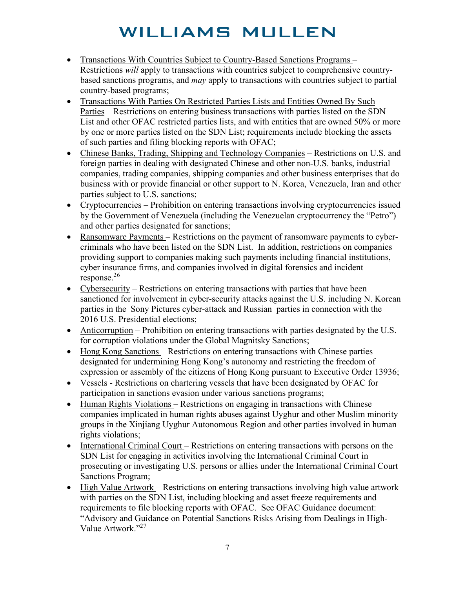- Transactions With Countries Subject to Country-Based Sanctions Programs Restrictions *will* apply to transactions with countries subject to comprehensive countrybased sanctions programs, and *may* apply to transactions with countries subject to partial country-based programs;
- Transactions With Parties On Restricted Parties Lists and Entities Owned By Such Parties – Restrictions on entering business transactions with parties listed on the SDN List and other OFAC restricted parties lists, and with entities that are owned 50% or more by one or more parties listed on the SDN List; requirements include blocking the assets of such parties and filing blocking reports with OFAC;
- Chinese Banks, Trading, Shipping and Technology Companies Restrictions on U.S. and foreign parties in dealing with designated Chinese and other non-U.S. banks, industrial companies, trading companies, shipping companies and other business enterprises that do business with or provide financial or other support to N. Korea, Venezuela, Iran and other parties subject to U.S. sanctions;
- Cryptocurrencies Prohibition on entering transactions involving cryptocurrencies issued by the Government of Venezuela (including the Venezuelan cryptocurrency the "Petro") and other parties designated for sanctions;
- Ransomware Payments Restrictions on the payment of ransomware payments to cybercriminals who have been listed on the SDN List. In addition, restrictions on companies providing support to companies making such payments including financial institutions, cyber insurance firms, and companies involved in digital forensics and incident response. $^{26}$  $^{26}$  $^{26}$
- Cybersecurity Restrictions on entering transactions with parties that have been sanctioned for involvement in cyber-security attacks against the U.S. including N. Korean parties in the Sony Pictures cyber-attack and Russian parties in connection with the 2016 U.S. Presidential elections;
- Anticorruption Prohibition on entering transactions with parties designated by the U.S. for corruption violations under the Global Magnitsky Sanctions;
- Hong Kong Sanctions Restrictions on entering transactions with Chinese parties designated for undermining Hong Kong's autonomy and restricting the freedom of expression or assembly of the citizens of Hong Kong pursuant to Executive Order 13936;
- Vessels Restrictions on chartering vessels that have been designated by OFAC for participation in sanctions evasion under various sanctions programs;
- Human Rights Violations Restrictions on engaging in transactions with Chinese companies implicated in human rights abuses against Uyghur and other Muslim minority groups in the Xinjiang Uyghur Autonomous Region and other parties involved in human rights violations;
- International Criminal Court Restrictions on entering transactions with persons on the SDN List for engaging in activities involving the International Criminal Court in prosecuting or investigating U.S. persons or allies under the International Criminal Court Sanctions Program;
- High Value Artwork Restrictions on entering transactions involving high value artwork with parties on the SDN List, including blocking and asset freeze requirements and requirements to file blocking reports with OFAC. See OFAC Guidance document: "Advisory and Guidance on Potential Sanctions Risks Arising from Dealings in High-Value Artwork."2[7](#page-18-12)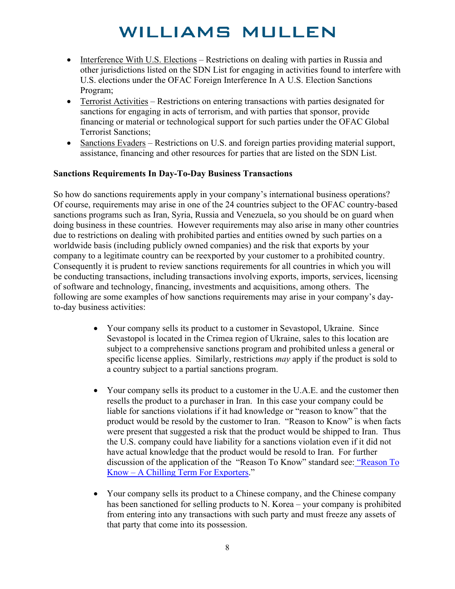- Interference With U.S. Elections Restrictions on dealing with parties in Russia and other jurisdictions listed on the SDN List for engaging in activities found to interfere with U.S. elections under the OFAC Foreign Interference In A U.S. Election Sanctions Program;
- Terrorist Activities Restrictions on entering transactions with parties designated for sanctions for engaging in acts of terrorism, and with parties that sponsor, provide financing or material or technological support for such parties under the OFAC Global Terrorist Sanctions;
- Sanctions Evaders Restrictions on U.S. and foreign parties providing material support, assistance, financing and other resources for parties that are listed on the SDN List.

#### **Sanctions Requirements In Day-To-Day Business Transactions**

So how do sanctions requirements apply in your company's international business operations? Of course, requirements may arise in one of the 24 countries subject to the OFAC country-based sanctions programs such as Iran, Syria, Russia and Venezuela, so you should be on guard when doing business in these countries. However requirements may also arise in many other countries due to restrictions on dealing with prohibited parties and entities owned by such parties on a worldwide basis (including publicly owned companies) and the risk that exports by your company to a legitimate country can be reexported by your customer to a prohibited country. Consequently it is prudent to review sanctions requirements for all countries in which you will be conducting transactions, including transactions involving exports, imports, services, licensing of software and technology, financing, investments and acquisitions, among others. The following are some examples of how sanctions requirements may arise in your company's dayto-day business activities:

- Your company sells its product to a customer in Sevastopol, Ukraine. Since Sevastopol is located in the Crimea region of Ukraine, sales to this location are subject to a comprehensive sanctions program and prohibited unless a general or specific license applies. Similarly, restrictions *may* apply if the product is sold to a country subject to a partial sanctions program.
- Your company sells its product to a customer in the U.A.E. and the customer then resells the product to a purchaser in Iran. In this case your company could be liable for sanctions violations if it had knowledge or "reason to know" that the product would be resold by the customer to Iran. "Reason to Know" is when facts were present that suggested a risk that the product would be shipped to Iran. Thus the U.S. company could have liability for a sanctions violation even if it did not have actual knowledge that the product would be resold to Iran. For further discussion of the application of the ["Reason To](https://www.williamsmullen.com/news/%E2%80%9Creason-know%E2%80%9D%20-%20chilling-term-exporters) Know" standard see: "Reason To Know – [A Chilling Term For Exporters.](https://www.williamsmullen.com/news/%E2%80%9Creason-know%E2%80%9D%20-%20chilling-term-exporters)"
- Your company sells its product to a Chinese company, and the Chinese company has been sanctioned for selling products to N. Korea – your company is prohibited from entering into any transactions with such party and must freeze any assets of that party that come into its possession.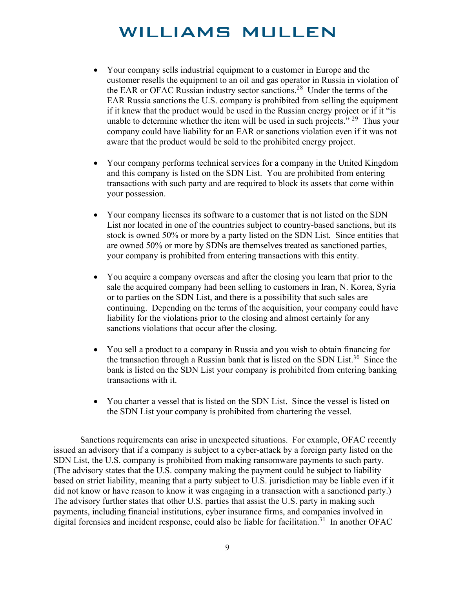- Your company sells industrial equipment to a customer in Europe and the customer resells the equipment to an oil and gas operator in Russia in violation of the EAR or OFAC Russian industry sector sanctions.<sup>2[8](#page-18-13)</sup> Under the terms of the EAR Russia sanctions the U.S. company is prohibited from selling the equipment if it knew that the product would be used in the Russian energy project or if it "is unable to determine whether the item will be used in such projects."  $29$  $29$  Thus your company could have liability for an EAR or sanctions violation even if it was not aware that the product would be sold to the prohibited energy project.
- Your company performs technical services for a company in the United Kingdom and this company is listed on the SDN List. You are prohibited from entering transactions with such party and are required to block its assets that come within your possession.
- Your company licenses its software to a customer that is not listed on the SDN List nor located in one of the countries subject to country-based sanctions, but its stock is owned 50% or more by a party listed on the SDN List. Since entities that are owned 50% or more by SDNs are themselves treated as sanctioned parties, your company is prohibited from entering transactions with this entity.
- You acquire a company overseas and after the closing you learn that prior to the sale the acquired company had been selling to customers in Iran, N. Korea, Syria or to parties on the SDN List, and there is a possibility that such sales are continuing. Depending on the terms of the acquisition, your company could have liability for the violations prior to the closing and almost certainly for any sanctions violations that occur after the closing.
- You sell a product to a company in Russia and you wish to obtain financing for the transaction through a Russian bank that is listed on the SDN List.<sup>3[0](#page-18-15)</sup> Since the bank is listed on the SDN List your company is prohibited from entering banking transactions with it.
- You charter a vessel that is listed on the SDN List. Since the vessel is listed on the SDN List your company is prohibited from chartering the vessel.

Sanctions requirements can arise in unexpected situations. For example, OFAC recently issued an advisory that if a company is subject to a cyber-attack by a foreign party listed on the SDN List, the U.S. company is prohibited from making ransomware payments to such party. (The advisory states that the U.S. company making the payment could be subject to liability based on strict liability, meaning that a party subject to U.S. jurisdiction may be liable even if it did not know or have reason to know it was engaging in a transaction with a sanctioned party.) The advisory further states that other U.S. parties that assist the U.S. party in making such payments, including financial institutions, cyber insurance firms, and companies involved in digital forensics and incident response, could also be liable for facilitation.<sup>3[1](#page-18-16)</sup> In another OFAC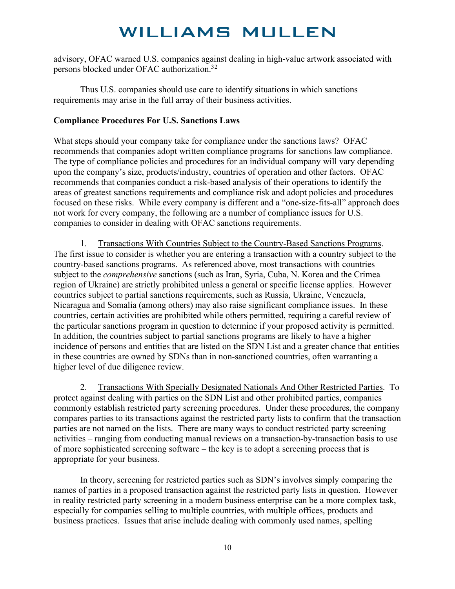advisory, OFAC warned U.S. companies against dealing in high-value artwork associated with persons blocked under OFAC authorization.<sup>3[2](#page-18-17)</sup>

Thus U.S. companies should use care to identify situations in which sanctions requirements may arise in the full array of their business activities.

#### **Compliance Procedures For U.S. Sanctions Laws**

What steps should your company take for compliance under the sanctions laws? OFAC recommends that companies adopt written compliance programs for sanctions law compliance. The type of compliance policies and procedures for an individual company will vary depending upon the company's size, products/industry, countries of operation and other factors. OFAC recommends that companies conduct a risk-based analysis of their operations to identify the areas of greatest sanctions requirements and compliance risk and adopt policies and procedures focused on these risks. While every company is different and a "one-size-fits-all" approach does not work for every company, the following are a number of compliance issues for U.S. companies to consider in dealing with OFAC sanctions requirements.

1. Transactions With Countries Subject to the Country-Based Sanctions Programs. The first issue to consider is whether you are entering a transaction with a country subject to the country-based sanctions programs. As referenced above, most transactions with countries subject to the *comprehensive* sanctions (such as Iran, Syria, Cuba, N. Korea and the Crimea region of Ukraine) are strictly prohibited unless a general or specific license applies. However countries subject to partial sanctions requirements, such as Russia, Ukraine, Venezuela, Nicaragua and Somalia (among others) may also raise significant compliance issues. In these countries, certain activities are prohibited while others permitted, requiring a careful review of the particular sanctions program in question to determine if your proposed activity is permitted. In addition, the countries subject to partial sanctions programs are likely to have a higher incidence of persons and entities that are listed on the SDN List and a greater chance that entities in these countries are owned by SDNs than in non-sanctioned countries, often warranting a higher level of due diligence review.

2. Transactions With Specially Designated Nationals And Other Restricted Parties. To protect against dealing with parties on the SDN List and other prohibited parties, companies commonly establish restricted party screening procedures. Under these procedures, the company compares parties to its transactions against the restricted party lists to confirm that the transaction parties are not named on the lists. There are many ways to conduct restricted party screening activities – ranging from conducting manual reviews on a transaction-by-transaction basis to use of more sophisticated screening software – the key is to adopt a screening process that is appropriate for your business.

In theory, screening for restricted parties such as SDN's involves simply comparing the names of parties in a proposed transaction against the restricted party lists in question. However in reality restricted party screening in a modern business enterprise can be a more complex task, especially for companies selling to multiple countries, with multiple offices, products and business practices. Issues that arise include dealing with commonly used names, spelling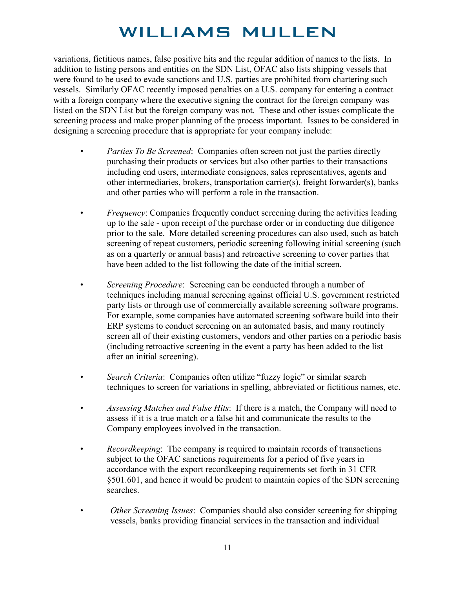variations, fictitious names, false positive hits and the regular addition of names to the lists. In addition to listing persons and entities on the SDN List, OFAC also lists shipping vessels that were found to be used to evade sanctions and U.S. parties are prohibited from chartering such vessels. Similarly OFAC recently imposed penalties on a U.S. company for entering a contract with a foreign company where the executive signing the contract for the foreign company was listed on the SDN List but the foreign company was not. These and other issues complicate the screening process and make proper planning of the process important. Issues to be considered in designing a screening procedure that is appropriate for your company include:

- *Parties To Be Screened*: Companies often screen not just the parties directly purchasing their products or services but also other parties to their transactions including end users, intermediate consignees, sales representatives, agents and other intermediaries, brokers, transportation carrier(s), freight forwarder(s), banks and other parties who will perform a role in the transaction.
- *Frequency:* Companies frequently conduct screening during the activities leading up to the sale - upon receipt of the purchase order or in conducting due diligence prior to the sale. More detailed screening procedures can also used, such as batch screening of repeat customers, periodic screening following initial screening (such as on a quarterly or annual basis) and retroactive screening to cover parties that have been added to the list following the date of the initial screen.
- *Screening Procedure*: Screening can be conducted through a number of techniques including manual screening against official U.S. government restricted party lists or through use of commercially available screening software programs. For example, some companies have automated screening software build into their ERP systems to conduct screening on an automated basis, and many routinely screen all of their existing customers, vendors and other parties on a periodic basis (including retroactive screening in the event a party has been added to the list after an initial screening).
- *Search Criteria*: Companies often utilize "fuzzy logic" or similar search techniques to screen for variations in spelling, abbreviated or fictitious names, etc.
- *Assessing Matches and False Hits*: If there is a match, the Company will need to assess if it is a true match or a false hit and communicate the results to the Company employees involved in the transaction.
- *Recordkeeping*: The company is required to maintain records of transactions subject to the OFAC sanctions requirements for a period of five years in accordance with the export recordkeeping requirements set forth in 31 CFR §501.601, and hence it would be prudent to maintain copies of the SDN screening searches.
- *Other Screening Issues*: Companies should also consider screening for shipping vessels, banks providing financial services in the transaction and individual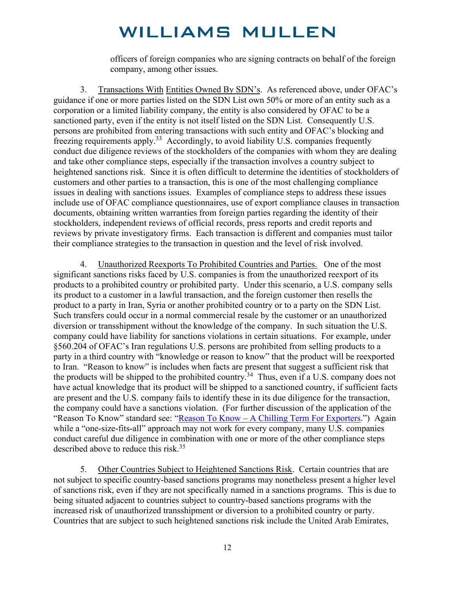officers of foreign companies who are signing contracts on behalf of the foreign company, among other issues.

3. Transactions With Entities Owned By SDN's. As referenced above, under OFAC's guidance if one or more parties listed on the SDN List own 50% or more of an entity such as a corporation or a limited liability company, the entity is also considered by OFAC to be a sanctioned party, even if the entity is not itself listed on the SDN List. Consequently U.S. persons are prohibited from entering transactions with such entity and OFAC's blocking and freezing requirements apply.<sup>[3](#page-18-18)3</sup> Accordingly, to avoid liability U.S. companies frequently conduct due diligence reviews of the stockholders of the companies with whom they are dealing and take other compliance steps, especially if the transaction involves a country subject to heightened sanctions risk. Since it is often difficult to determine the identities of stockholders of customers and other parties to a transaction, this is one of the most challenging compliance issues in dealing with sanctions issues. Examples of compliance steps to address these issues include use of OFAC compliance questionnaires, use of export compliance clauses in transaction documents, obtaining written warranties from foreign parties regarding the identity of their stockholders, independent reviews of official records, press reports and credit reports and reviews by private investigatory firms. Each transaction is different and companies must tailor their compliance strategies to the transaction in question and the level of risk involved.

4. Unauthorized Reexports To Prohibited Countries and Parties. One of the most significant sanctions risks faced by U.S. companies is from the unauthorized reexport of its products to a prohibited country or prohibited party. Under this scenario, a U.S. company sells its product to a customer in a lawful transaction, and the foreign customer then resells the product to a party in Iran, Syria or another prohibited country or to a party on the SDN List. Such transfers could occur in a normal commercial resale by the customer or an unauthorized diversion or transshipment without the knowledge of the company. In such situation the U.S. company could have liability for sanctions violations in certain situations. For example, under §560.204 of OFAC's Iran regulations U.S. persons are prohibited from selling products to a party in a third country with "knowledge or reason to know" that the product will be reexported to Iran. "Reason to know" is includes when facts are present that suggest a sufficient risk that the products will be shipped to the prohibited country.<sup>3[4](#page-18-19)</sup> Thus, even if a U.S. company does not have actual knowledge that its product will be shipped to a sanctioned country, if sufficient facts are present and the U.S. company fails to identify these in its due diligence for the transaction, the company could have a sanctions violation. (For further discussion of the application of the "Reason To Know" standard see: "Reason To Know – [A Chilling Term For Exporters.](https://www.williamsmullen.com/news/%E2%80%9Creason-know%E2%80%9D%20-%20chilling-term-exporters)") Again while a "one-size-fits-all" approach may not work for every company, many U.S. companies conduct careful due diligence in combination with one or more of the other compliance steps described above to reduce this risk.<sup>3[5](#page-18-20)</sup>

5. Other Countries Subject to Heightened Sanctions Risk. Certain countries that are not subject to specific country-based sanctions programs may nonetheless present a higher level of sanctions risk, even if they are not specifically named in a sanctions programs. This is due to being situated adjacent to countries subject to country-based sanctions programs with the increased risk of unauthorized transshipment or diversion to a prohibited country or party. Countries that are subject to such heightened sanctions risk include the United Arab Emirates,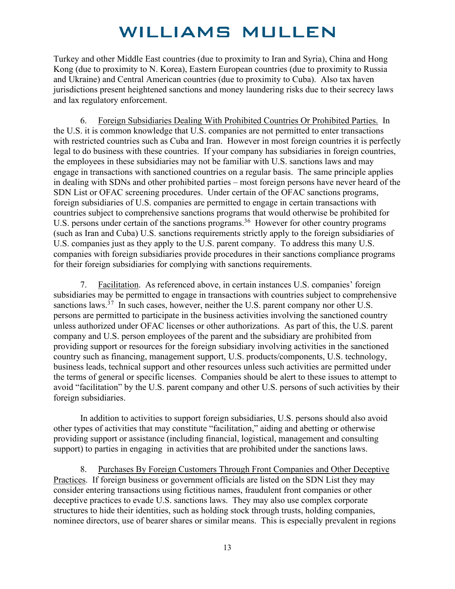Turkey and other Middle East countries (due to proximity to Iran and Syria), China and Hong Kong (due to proximity to N. Korea), Eastern European countries (due to proximity to Russia and Ukraine) and Central American countries (due to proximity to Cuba). Also tax haven jurisdictions present heightened sanctions and money laundering risks due to their secrecy laws and lax regulatory enforcement.

6. Foreign Subsidiaries Dealing With Prohibited Countries Or Prohibited Parties. In the U.S. it is common knowledge that U.S. companies are not permitted to enter transactions with restricted countries such as Cuba and Iran. However in most foreign countries it is perfectly legal to do business with these countries. If your company has subsidiaries in foreign countries, the employees in these subsidiaries may not be familiar with U.S. sanctions laws and may engage in transactions with sanctioned countries on a regular basis. The same principle applies in dealing with SDNs and other prohibited parties – most foreign persons have never heard of the SDN List or OFAC screening procedures. Under certain of the OFAC sanctions programs, foreign subsidiaries of U.S. companies are permitted to engage in certain transactions with countries subject to comprehensive sanctions programs that would otherwise be prohibited for U.S. persons under certain of the sanctions programs.<sup>3[6](#page-18-21)</sup> However for other country programs (such as Iran and Cuba) U.S. sanctions requirements strictly apply to the foreign subsidiaries of U.S. companies just as they apply to the U.S. parent company. To address this many U.S. companies with foreign subsidiaries provide procedures in their sanctions compliance programs for their foreign subsidiaries for complying with sanctions requirements.

7. Facilitation. As referenced above, in certain instances U.S. companies' foreign subsidiaries may be permitted to engage in transactions with countries subject to comprehensive sanctions laws.<sup>3[7](#page-18-22)</sup> In such cases, however, neither the U.S. parent company nor other U.S. persons are permitted to participate in the business activities involving the sanctioned country unless authorized under OFAC licenses or other authorizations. As part of this, the U.S. parent company and U.S. person employees of the parent and the subsidiary are prohibited from providing support or resources for the foreign subsidiary involving activities in the sanctioned country such as financing, management support, U.S. products/components, U.S. technology, business leads, technical support and other resources unless such activities are permitted under the terms of general or specific licenses. Companies should be alert to these issues to attempt to avoid "facilitation" by the U.S. parent company and other U.S. persons of such activities by their foreign subsidiaries.

In addition to activities to support foreign subsidiaries, U.S. persons should also avoid other types of activities that may constitute "facilitation," aiding and abetting or otherwise providing support or assistance (including financial, logistical, management and consulting support) to parties in engaging in activities that are prohibited under the sanctions laws.

8. Purchases By Foreign Customers Through Front Companies and Other Deceptive Practices. If foreign business or government officials are listed on the SDN List they may consider entering transactions using fictitious names, fraudulent front companies or other deceptive practices to evade U.S. sanctions laws. They may also use complex corporate structures to hide their identities, such as holding stock through trusts, holding companies, nominee directors, use of bearer shares or similar means. This is especially prevalent in regions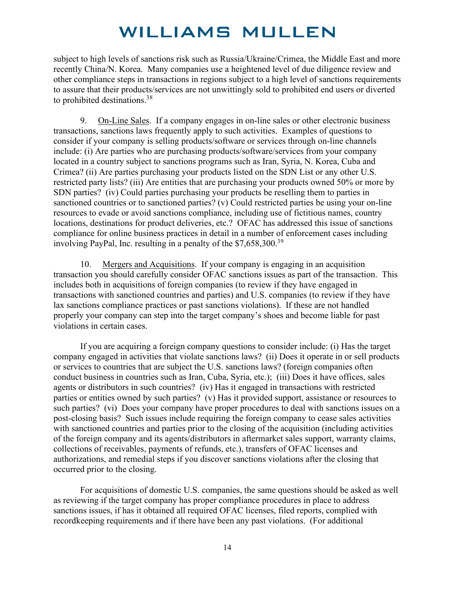subject to high levels of sanctions risk such as Russia/Ukraine/Crimea, the Middle East and more recently China/N. Korea. Many companies use a heightened level of due diligence review and other compliance steps in transactions in regions subject to a high level of sanctions requirements to assure that their products/services are not unwittingly sold to prohibited end users or diverted to prohibited destinations.[38](#page-18-23)

9. On-Line Sales. If a company engages in on-line sales or other electronic business transactions, sanctions laws frequently apply to such activities. Examples of questions to consider if your company is selling products/software or services through on-line channels include: (i) Are parties who are purchasing products/software/services from your company located in a country subject to sanctions programs such as Iran, Syria, N. Korea, Cuba and Crimea? (ii) Are parties purchasing your products listed on the SDN List or any other U.S. restricted party lists? (iii) Are entities that are purchasing your products owned 50% or more by SDN parties? (iv) Could parties purchasing your products be reselling them to parties in sanctioned countries or to sanctioned parties? (v) Could restricted parties be using your on-line resources to evade or avoid sanctions compliance, including use of fictitious names, country locations, destinations for product deliveries, etc.? OFAC has addressed this issue of sanctions compliance for online business practices in detail in a number of enforcement cases including involving PayPal, Inc. resulting in a penalty of the \$7,658,300.3[9](#page-18-24)

10. Mergers and Acquisitions. If your company is engaging in an acquisition transaction you should carefully consider OFAC sanctions issues as part of the transaction. This includes both in acquisitions of foreign companies (to review if they have engaged in transactions with sanctioned countries and parties) and U.S. companies (to review if they have lax sanctions compliance practices or past sanctions violations). If these are not handled properly your company can step into the target company's shoes and become liable for past violations in certain cases.

If you are acquiring a foreign company questions to consider include: (i) Has the target company engaged in activities that violate sanctions laws? (ii) Does it operate in or sell products or services to countries that are subject the U.S. sanctions laws? (foreign companies often conduct business in countries such as Iran, Cuba, Syria, etc.); (iii) Does it have offices, sales agents or distributors in such countries? (iv) Has it engaged in transactions with restricted parties or entities owned by such parties? (v) Has it provided support, assistance or resources to such parties? (vi) Does your company have proper procedures to deal with sanctions issues on a post-closing basis? Such issues include requiring the foreign company to cease sales activities with sanctioned countries and parties prior to the closing of the acquisition (including activities of the foreign company and its agents/distributors in aftermarket sales support, warranty claims, collections of receivables, payments of refunds, etc.), transfers of OFAC licenses and authorizations, and remedial steps if you discover sanctions violations after the closing that occurred prior to the closing.

For acquisitions of domestic U.S. companies, the same questions should be asked as well as reviewing if the target company has proper compliance procedures in place to address sanctions issues, if has it obtained all required OFAC licenses, filed reports, complied with recordkeeping requirements and if there have been any past violations. (For additional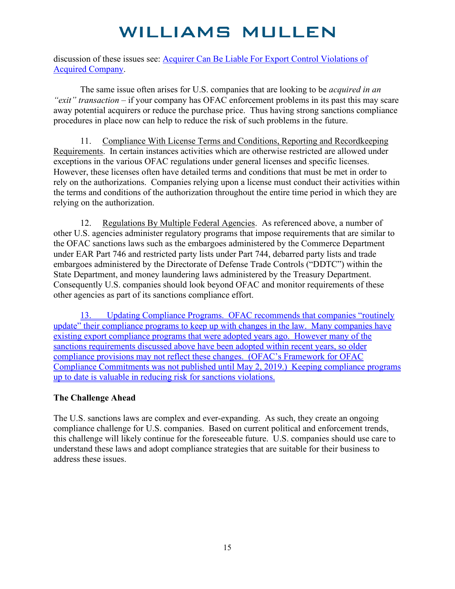discussion of these issues see: [Acquirer Can Be Liable For Export Control Violations of](https://www.williamsmullen.com/sites/default/files/files/Acquirer%20can%20be%20liable%20for%20export%20control%20violations%20of%20acquired%20company.pdf)  [Acquired Company.](https://www.williamsmullen.com/sites/default/files/files/Acquirer%20can%20be%20liable%20for%20export%20control%20violations%20of%20acquired%20company.pdf)

The same issue often arises for U.S. companies that are looking to be *acquired in an "exit" transaction* – if your company has OFAC enforcement problems in its past this may scare away potential acquirers or reduce the purchase price. Thus having strong sanctions compliance procedures in place now can help to reduce the risk of such problems in the future.

11. Compliance With License Terms and Conditions, Reporting and Recordkeeping Requirements. In certain instances activities which are otherwise restricted are allowed under exceptions in the various OFAC regulations under general licenses and specific licenses. However, these licenses often have detailed terms and conditions that must be met in order to rely on the authorizations. Companies relying upon a license must conduct their activities within the terms and conditions of the authorization throughout the entire time period in which they are relying on the authorization.

12. Regulations By Multiple Federal Agencies. As referenced above, a number of other U.S. agencies administer regulatory programs that impose requirements that are similar to the OFAC sanctions laws such as the embargoes administered by the Commerce Department under EAR Part 746 and restricted party lists under Part 744, debarred party lists and trade embargoes administered by the Directorate of Defense Trade Controls ("DDTC") within the State Department, and money laundering laws administered by the Treasury Department. Consequently U.S. companies should look beyond OFAC and monitor requirements of these other agencies as part of its sanctions compliance effort.

13. Updating Compliance Programs. OFAC recommends that companies "routinely update" their compliance programs to keep up with changes in the law. Many companies have existing export compliance programs that were adopted years ago. However many of the sanctions requirements discussed above have been adopted within recent years, so older compliance provisions may not reflect these changes. (OFAC's Framework for OFAC Compliance Commitments was not published until May 2, 2019.) Keeping compliance programs up to date is valuable in reducing risk for sanctions violations.

#### **The Challenge Ahead**

The U.S. sanctions laws are complex and ever-expanding. As such, they create an ongoing compliance challenge for U.S. companies. Based on current political and enforcement trends, this challenge will likely continue for the foreseeable future. U.S. companies should use care to understand these laws and adopt compliance strategies that are suitable for their business to address these issues.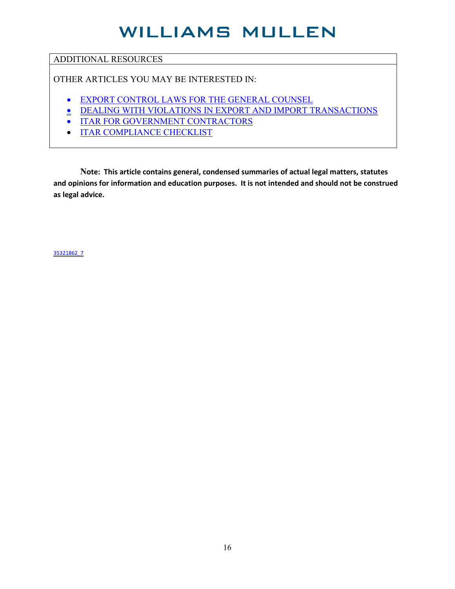#### ADDITIONAL RESOURCES

OTHER ARTICLES YOU MAY BE INTERESTED IN:

- [EXPORT CONTROL LAWS FOR THE GENERAL COUNSEL](https://www.williamsmullen.com/sites/default/files/files/FULL%20-%20Export%20Control%20Laws%20for%20the%20General%20Counsel%206.pdf)
- **[DEALING WITH VIOLATIONS IN EXPORT AND IMPORT TRANSACTIONS](https://www.williamsmullen.com/sites/default/files/files/Dealing%20With%20Violations%20In%20Export%20and%20Import%20Transactions%20-%20Full.pdf)**
- **[ITAR FOR GOVERNMENT CONTRACTORS](https://www.williamsmullen.com/sites/default/files/files/ITAR%20For%20Government%20Contractors_McVey_8_2017.pdf)**
- [ITAR COMPLIANCE CHECKLIST](https://www.williamsmullen.com/sites/default/files/files/ITAR%20Compliance%20Checklist_Mcvey_2018.pdf)

**Note: This article contains general, condensed summaries of actual legal matters, statutes and opinions for information and education purposes. It is not intended and should not be construed as legal advice.**

35321862\_7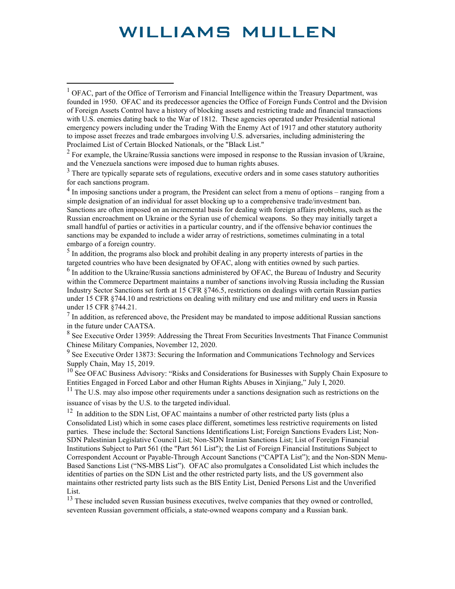$<sup>4</sup>$  In imposing sanctions under a program, the President can select from a menu of options – ranging from a</sup> simple designation of an individual for asset blocking up to a comprehensive trade/investment ban. Sanctions are often imposed on an incremental basis for dealing with foreign affairs problems, such as the Russian encroachment on Ukraine or the Syrian use of chemical weapons. So they may initially target a small handful of parties or activities in a particular country, and if the offensive behavior continues the sanctions may be expanded to include a wider array of restrictions, sometimes culminating in a total embargo of a foreign country.<br><sup>5</sup> In addition, the programs also block and prohibit dealing in any property interests of parties in the

targeted countries who have been designated by OFAC, along with entities owned by such parties.

 $<sup>6</sup>$  In addition to the Ukraine/Russia sanctions administered by OFAC, the Bureau of Industry and Security</sup> within the Commerce Department maintains a number of sanctions involving Russia including the Russian Industry Sector Sanctions set forth at 15 CFR §746.5, restrictions on dealings with certain Russian parties under 15 CFR §744.10 and restrictions on dealing with military end use and military end users in Russia under 15 CFR §744.21.

 $<sup>7</sup>$  In addition, as referenced above, the President may be mandated to impose additional Russian sanctions</sup> in the future under CAATSA.

<sup>8</sup> See Executive Order 13959: Addressing the Threat From Securities Investments That Finance Communist Chinese Military Companies, November 12, 2020.

 $9<sup>9</sup>$  See Executive Order 13873: Securing the Information and Communications Technology and Services Supply Chain, May 15, 2019.

<sup>10</sup> See OFAC Business Advisory: "Risks and Considerations for Businesses with Supply Chain Exposure to Entities Engaged in Forced Labor and other Human Rights Abuses in Xinjiang," July I, 2020.

 $11$  The U.S. may also impose other requirements under a sanctions designation such as restrictions on the issuance of visas by the U.S. to the targeted individual.

 $12$  In addition to the SDN List, OFAC maintains a number of other restricted party lists (plus a Consolidated List) which in some cases place different, sometimes less restrictive requirements on listed parties. These include the: Sectoral Sanctions Identifications List; Foreign Sanctions Evaders List; Non-SDN Palestinian Legislative Council List; Non-SDN Iranian Sanctions List; List of Foreign Financial Institutions Subject to Part 561 (the "Part 561 List"); the List of Foreign Financial Institutions Subject to Correspondent Account or Payable-Through Account Sanctions ("CAPTA List"); and the Non-SDN Menu-Based Sanctions List ("NS-MBS List"). OFAC also promulgates a Consolidated List which includes the identities of parties on the SDN List and the other restricted party lists, and the US government also maintains other restricted party lists such as the BIS Entity List, Denied Persons List and the Unverified List.

<sup>13</sup> These included seven Russian business executives, twelve companies that they owned or controlled, seventeen Russian government officials, a state-owned weapons company and a Russian bank.

<sup>&</sup>lt;sup>1</sup> OFAC, part of the Office of Terrorism and Financial Intelligence within the Treasury Department, was founded in 1950. OFAC and its predecessor agencies the Office of Foreign Funds Control and the Division of Foreign Assets Control have a history of blocking assets and restricting trade and financial transactions with U.S. enemies dating back to the War of 1812. These agencies operated under Presidential national emergency powers including under the Trading With the Enemy Act of 1917 and other statutory authority to impose asset freezes and trade embargoes involving U.S. adversaries, including administering the Proclaimed List of Certain Blocked Nationals, or the "Black List."

 $2^2$  For example, the Ukraine/Russia sanctions were imposed in response to the Russian invasion of Ukraine, and the Venezuela sanctions were imposed due to human rights abuses.

 $3$  There are typically separate sets of regulations, executive orders and in some cases statutory authorities for each sanctions program.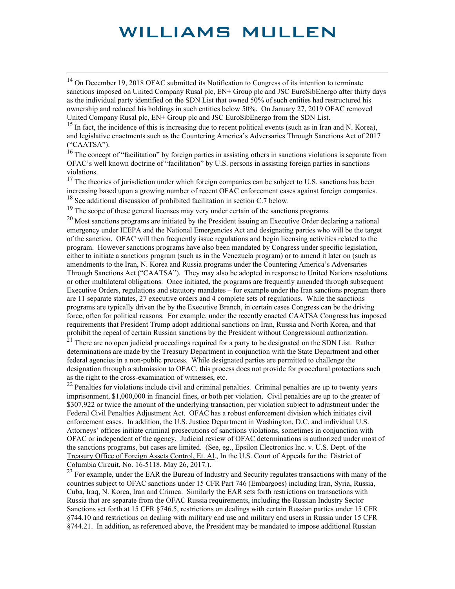<span id="page-17-0"></span><sup>14</sup> On December 19, 2018 OFAC submitted its Notification to Congress of its intention to terminate sanctions imposed on United Company Rusal plc, EN+ Group plc and JSC EuroSibEnergo after thirty days as the individual party identified on the SDN List that owned 50% of such entities had restructured his ownership and reduced his holdings in such entities below 50%. On January 27, 2019 OFAC removed United Company Rusal plc, EN+ Group plc and JSC EuroSibEnergo from the SDN List.

 $15$  In fact, the incidence of this is increasing due to recent political events (such as in Iran and N. Korea), and legislative enactments such as the Countering America's Adversaries Through Sanctions Act of 2017 ("CAATSA").

<span id="page-17-1"></span><sup>16</sup> The concept of "facilitation" by foreign parties in assisting others in sanctions violations is separate from OFAC's well known doctrine of "facilitation" by U.S. persons in assisting foreign parties in sanctions violations.

<span id="page-17-3"></span><span id="page-17-2"></span> $17$  The theories of jurisdiction under which foreign companies can be subject to U.S. sanctions has been increasing based upon a growing number of recent OFAC enforcement cases against foreign companies.<br><sup>18</sup> See additional discussion of prohibited facilitation in section C.7 below.

 $19$  The scope of these general licenses may very under certain of the sanctions programs.

<span id="page-17-5"></span><span id="page-17-4"></span> $20$  Most sanctions programs are initiated by the President issuing an Executive Order declaring a national emergency under IEEPA and the National Emergencies Act and designating parties who will be the target of the sanction. OFAC will then frequently issue regulations and begin licensing activities related to the program. However sanctions programs have also been mandated by Congress under specific legislation, either to initiate a sanctions program (such as in the Venezuela program) or to amend it later on (such as amendments to the Iran, N. Korea and Russia programs under the Countering America's Adversaries Through Sanctions Act ("CAATSA"). They may also be adopted in response to United Nations resolutions or other multilateral obligations. Once initiated, the programs are frequently amended through subsequent Executive Orders, regulations and statutory mandates – for example under the Iran sanctions program there are 11 separate statutes, 27 executive orders and 4 complete sets of regulations. While the sanctions programs are typically driven the by the Executive Branch, in certain cases Congress can be the driving force, often for political reasons. For example, under the recently enacted CAATSA Congress has imposed requirements that President Trump adopt additional sanctions on Iran, Russia and North Korea, and that prohibit the repeal of certain Russian sanctions by the President without Congressional authorization.

<span id="page-17-8"></span><span id="page-17-7"></span><span id="page-17-6"></span><sup>21</sup> There are no open judicial proceedings required for a party to be designated on the SDN List. Rather determinations are made by the Treasury Department in conjunction with the State Department and other federal agencies in a non-public process. While designated parties are permitted to challenge the designation through a submission to OFAC, this process does not provide for procedural protections such as the right to the cross-examination of witnesses, etc.

<span id="page-17-11"></span><span id="page-17-10"></span><span id="page-17-9"></span><sup>22</sup> Penalties for violations include civil and criminal penalties. Criminal penalties are up to twenty years imprisonment, \$1,000,000 in financial fines, or both per violation. Civil penalties are up to the greater of \$307,922 or twice the amount of the underlying transaction, per violation subject to adjustment under the Federal Civil Penalties Adjustment Act. OFAC has a robust enforcement division which initiates civil enforcement cases. In addition, the U.S. Justice Department in Washington, D.C. and individual U.S. Attorneys' offices initiate criminal prosecutions of sanctions violations, sometimes in conjunction with OFAC or independent of the agency. Judicial review of OFAC determinations is authorized under most of the sanctions programs, but cases are limited. (See, eg., Epsilon Electronics Inc. v. U.S. Dept. of the Treasury Office of Foreign Assets Control, Et. Al., In the U.S. Court of Appeals for the District of Columbia Circuit, No. 16-5118, May 26, 2017.).

<span id="page-17-12"></span><sup>23</sup> For example, under the EAR the Bureau of Industry and Security regulates transactions with many of the countries subject to OFAC sanctions under 15 CFR Part 746 (Embargoes) including Iran, Syria, Russia, Cuba, Iraq, N. Korea, Iran and Crimea. Similarly the EAR sets forth restrictions on transactions with Russia that are separate from the OFAC Russia requirements, including the Russian Industry Sector Sanctions set forth at 15 CFR §746.5, restrictions on dealings with certain Russian parties under 15 CFR §744.10 and restrictions on dealing with military end use and military end users in Russia under 15 CFR §744.21. In addition, as referenced above, the President may be mandated to impose additional Russian